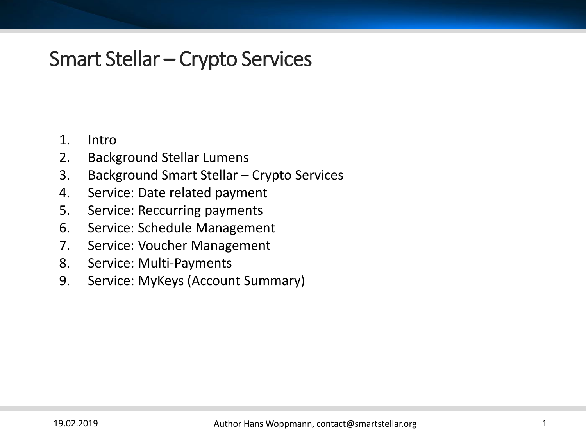### 1. Intro

- 2. Background Stellar Lumens
- 3. Background Smart Stellar Crypto Services
- 4. Service: Date related payment
- 5. Service: Reccurring payments
- 6. Service: Schedule Management
- 7. Service: Voucher Management
- 8. Service: Multi-Payments
- 9. Service: MyKeys (Account Summary)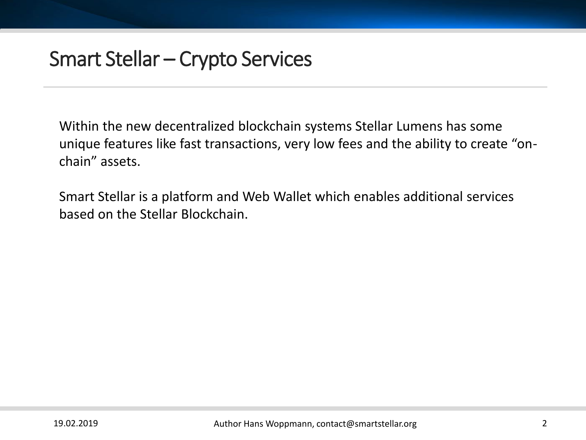Within the new decentralized blockchain systems Stellar Lumens has some unique features like fast transactions, very low fees and the ability to create "onchain" assets.

Smart Stellar is a platform and Web Wallet which enables additional services based on the Stellar Blockchain.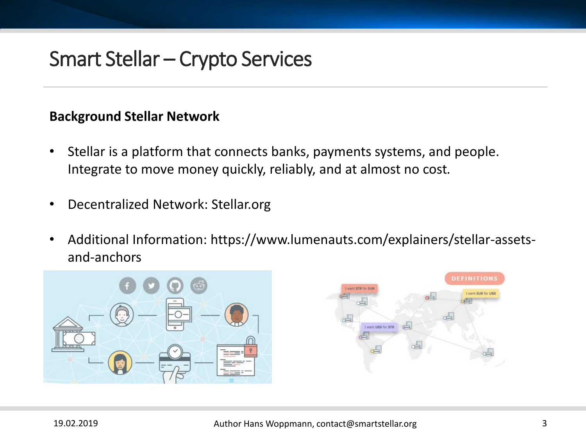### **Background Stellar Network**

- Stellar is a platform that connects banks, payments systems, and people. Integrate to move money quickly, reliably, and at almost no cost.
- Decentralized Network: Stellar.org
- Additional Information: https://www.lumenauts.com/explainers/stellar-assetsand-anchors

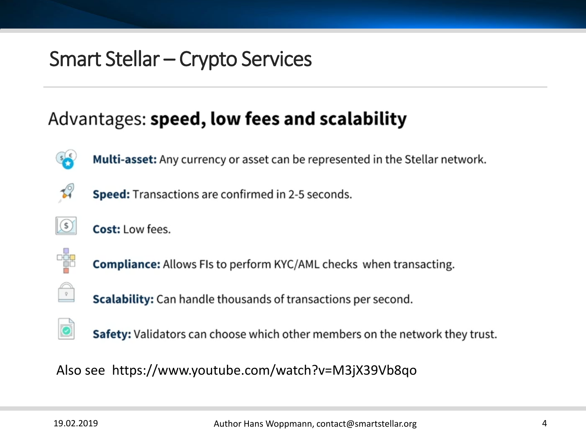### Advantages: speed, low fees and scalability



Multi-asset: Any currency or asset can be represented in the Stellar network.



Speed: Transactions are confirmed in 2-5 seconds.



Cost: Low fees.



 $\begin{array}{|c|} \hline \circ \end{array}$ 

**Compliance:** Allows FIs to perform KYC/AML checks when transacting.

**Scalability:** Can handle thousands of transactions per second.

**Safety:** Validators can choose which other members on the network they trust.

Also see https://www.youtube.com/watch?v=M3jX39Vb8qo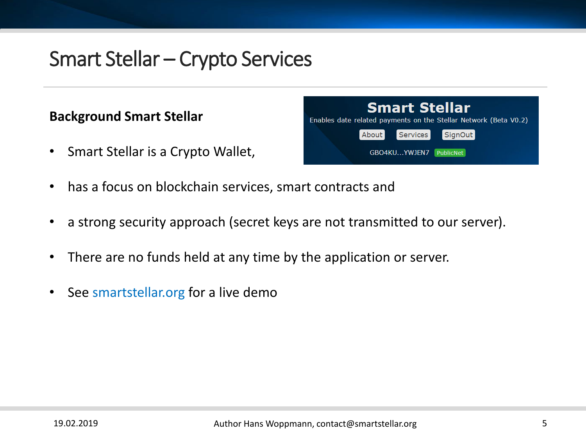### **Background Smart Stellar**

• Smart Stellar is a Crypto Wallet,



- has a focus on blockchain services, smart contracts and
- a strong security approach (secret keys are not transmitted to our server).
- There are no funds held at any time by the application or server.
- See smartstellar.org for a live demo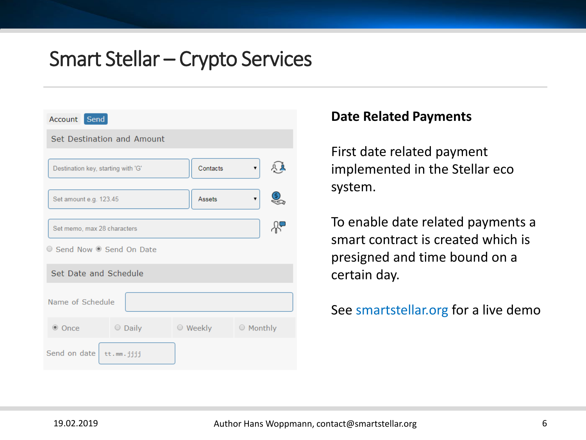

#### **Date Related Payments**

First date related payment implemented in the Stellar eco system.

To enable date related payments a smart contract is created which is presigned and time bound on a certain day.

#### See smartstellar.org for a live demo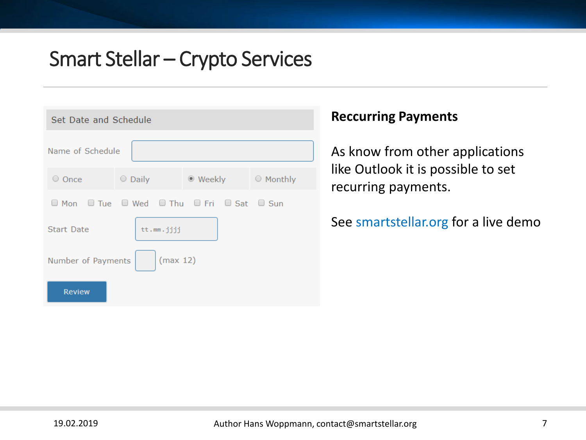| Set Date and Schedule |               |                                                                              |           |  |
|-----------------------|---------------|------------------------------------------------------------------------------|-----------|--|
| Name of Schedule      |               |                                                                              |           |  |
| $\circ$ Once          | $\circ$ Daily | $\bullet$ Weekly                                                             | ○ Monthly |  |
|                       |               | $\Box$ Mon $\Box$ Tue $\Box$ Wed $\Box$ Thu $\Box$ Fri $\Box$ Sat $\Box$ Sun |           |  |
| <b>Start Date</b>     | tt.mm.jjjj    |                                                                              |           |  |
| Number of Payments    | (max 12)      |                                                                              |           |  |
| <b>Review</b>         |               |                                                                              |           |  |

### **Reccurring Payments**

As know from other applications like Outlook it is possible to set recurring payments.

#### See smartstellar.org for a live demo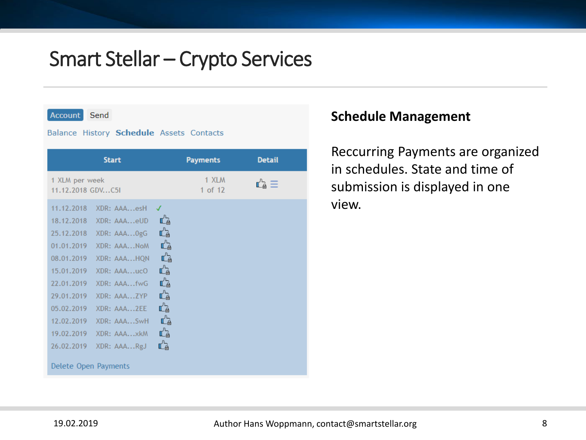Account Send

#### Balance History Schedule Assets Contacts

| 1 XLM per week<br>11.12.2018 GDVC5I                                                                                                                                                                                                                                                                                                                                                                                                                | 1 XLM<br>นี้∌ ≡ิ<br>1 of 12 |  |
|----------------------------------------------------------------------------------------------------------------------------------------------------------------------------------------------------------------------------------------------------------------------------------------------------------------------------------------------------------------------------------------------------------------------------------------------------|-----------------------------|--|
| 11.12.2018<br>XDR: AAAesH<br>Ľà<br>18.12.2018<br>XDR: AAAeUD<br>Ľà<br>25.12.2018<br>XDR: AAAOgG<br>Ľà<br>01.01.2019<br>XDR: AAANoM<br>Ľà<br>08.01.2019<br>XDR: AAAHQN<br>Ľà<br>15.01.2019<br>XDR: AAAucO<br>Ľà<br>22.01.2019<br>XDR: AAAfwG<br>Ľà<br>29.01.2019<br>XDR: AAAZYP<br>Ľà<br>05.02.2019<br>XDR: AAA2EE<br>Ľà<br>12.02.2019<br>XDR: AAASwH<br>Ľà<br>19.02.2019<br>XDR: AAAxkM<br>Ľà<br>26.02.2019<br>XDR: AAARgJ<br>Delete Open Payments |                             |  |

#### **Schedule Management**

Reccurring Payments are organized in schedules. State and time of submission is displayed in one view.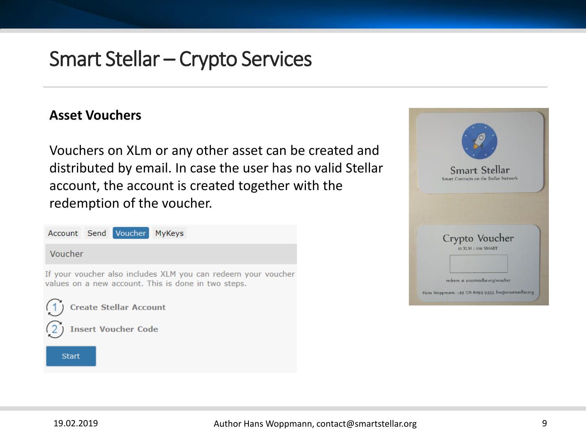#### **Asset Vouchers**

Vouchers on XLm or any other asset can be created and distributed by email. In case the user has no valid Stellar account, the account is created together with the redemption of the voucher.



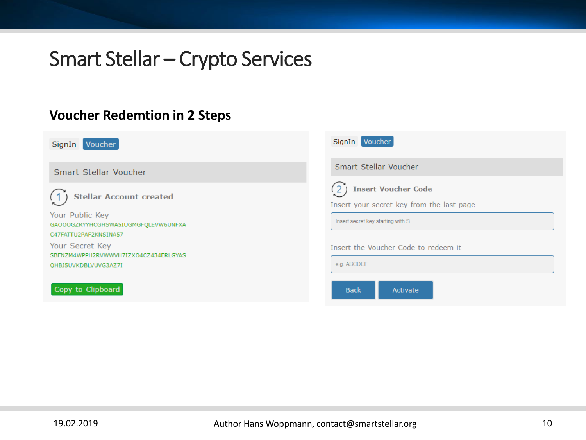#### **Voucher Redemtion in 2 Steps**

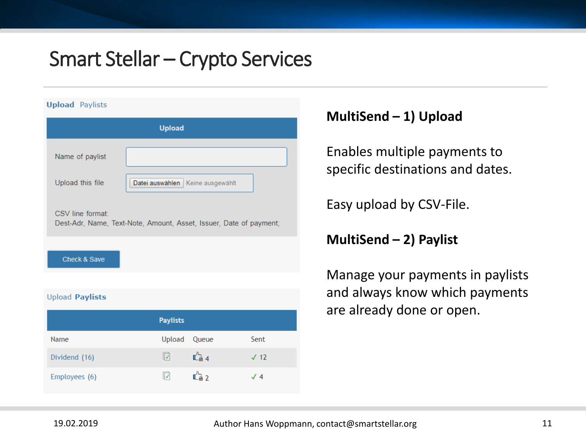| <b>Upload</b> Paylists |                                                                    |
|------------------------|--------------------------------------------------------------------|
|                        | <b>Upload</b>                                                      |
| Name of paylist        |                                                                    |
| Upload this file       | Datei auswählen<br>Keine ausgewählt                                |
| CSV line format:       | Dest-Adr, Name, Text-Note, Amount, Asset, Issuer, Date of payment; |
| Check & Save           |                                                                    |

#### **Upload Paylists**

|               | <b>Paylists</b> |                       |             |
|---------------|-----------------|-----------------------|-------------|
| Name          | Upload          | Queue                 | Sent        |
| Dividend (16) | ∣√              | $\mathbb{C}_\oplus$ 4 | $\sqrt{12}$ |
| Employees (6) |                 | $\mathbb{C}_\oplus$ 2 | $\sqrt{4}$  |

### **MultiSend – 1) Upload**

Enables multiple payments to specific destinations and dates.

Easy upload by CSV-File.

**MultiSend – 2) Paylist**

Manage your payments in paylists and always know which payments are already done or open.